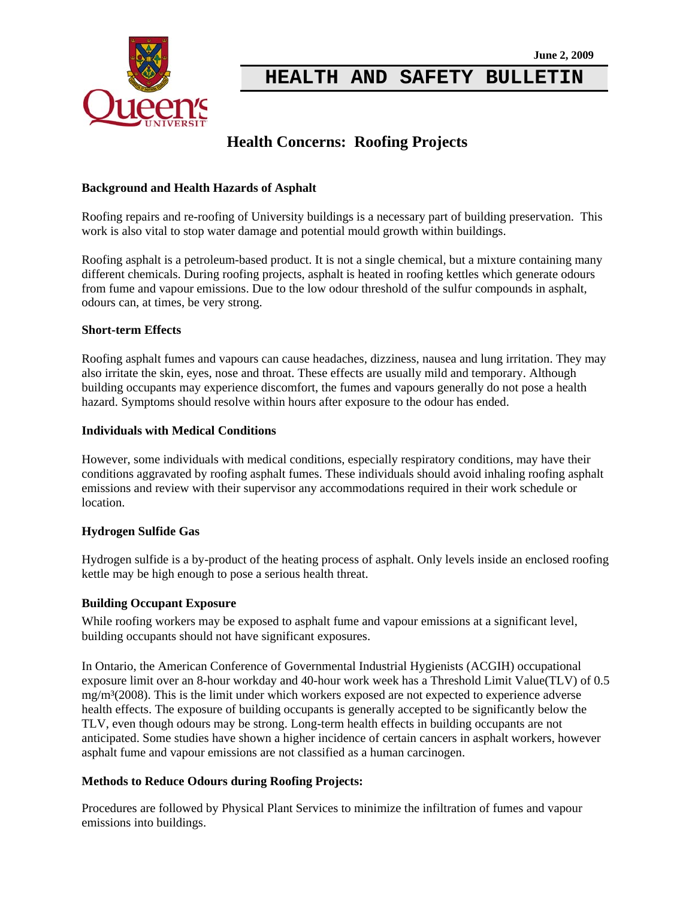

**HEALTH AND SAFETY BULLETIN**

# **Health Concerns: Roofing Projects**

## **Background and Health Hazards of Asphalt**

Roofing repairs and re-roofing of University buildings is a necessary part of building preservation. This work is also vital to stop water damage and potential mould growth within buildings.

Roofing asphalt is a petroleum-based product. It is not a single chemical, but a mixture containing many different chemicals. During roofing projects, asphalt is heated in roofing kettles which generate odours from fume and vapour emissions. Due to the low odour threshold of the sulfur compounds in asphalt, odours can, at times, be very strong.

#### **Short-term Effects**

Roofing asphalt fumes and vapours can cause headaches, dizziness, nausea and lung irritation. They may also irritate the skin, eyes, nose and throat. These effects are usually mild and temporary. Although building occupants may experience discomfort, the fumes and vapours generally do not pose a health hazard. Symptoms should resolve within hours after exposure to the odour has ended.

#### **Individuals with Medical Conditions**

However, some individuals with medical conditions, especially respiratory conditions, may have their conditions aggravated by roofing asphalt fumes. These individuals should avoid inhaling roofing asphalt emissions and review with their supervisor any accommodations required in their work schedule or location.

## **Hydrogen Sulfide Gas**

Hydrogen sulfide is a by-product of the heating process of asphalt. Only levels inside an enclosed roofing kettle may be high enough to pose a serious health threat.

#### **Building Occupant Exposure**

While roofing workers may be exposed to asphalt fume and vapour emissions at a significant level, building occupants should not have significant exposures.

In Ontario, the American Conference of Governmental Industrial Hygienists (ACGIH) occupational exposure limit over an 8-hour workday and 40-hour work week has a Threshold Limit Value(TLV) of 0.5 mg/m³(2008). This is the limit under which workers exposed are not expected to experience adverse health effects. The exposure of building occupants is generally accepted to be significantly below the TLV, even though odours may be strong. Long-term health effects in building occupants are not anticipated. Some studies have shown a higher incidence of certain cancers in asphalt workers, however asphalt fume and vapour emissions are not classified as a human carcinogen.

## **Methods to Reduce Odours during Roofing Projects:**

Procedures are followed by Physical Plant Services to minimize the infiltration of fumes and vapour emissions into buildings.